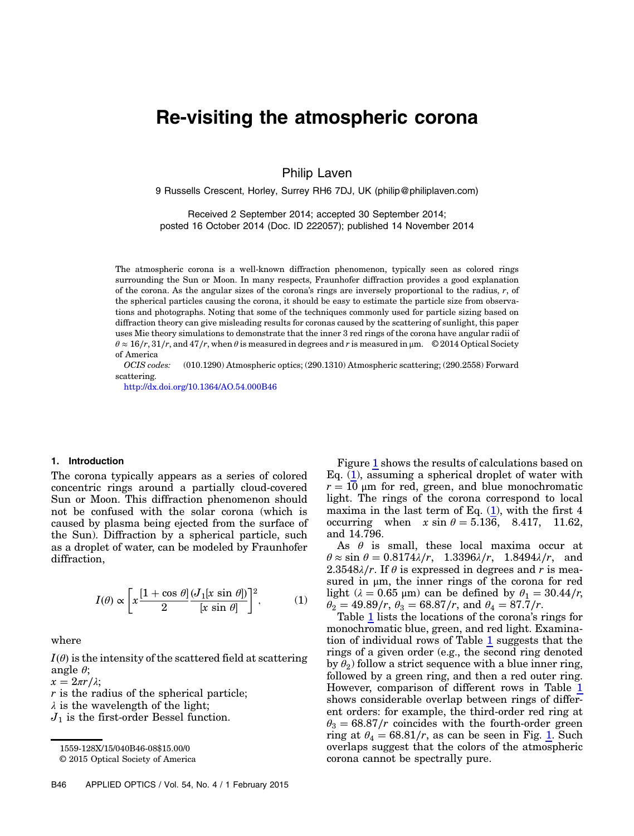# Re-visiting the atmospheric corona

Philip Laven

9 Russells Crescent, Horley, Surrey RH6 7DJ, UK (philip@philiplaven.com)

Received 2 September 2014; accepted 30 September 2014; posted 16 October 2014 (Doc. ID 222057); published 14 November 2014

The atmospheric corona is a well-known diffraction phenomenon, typically seen as colored rings surrounding the Sun or Moon. In many respects, Fraunhofer diffraction provides a good explanation of the corona. As the angular sizes of the corona's rings are inversely proportional to the radius,  $r$ , of the spherical particles causing the corona, it should be easy to estimate the particle size from observations and photographs. Noting that some of the techniques commonly used for particle sizing based on diffraction theory can give misleading results for coronas caused by the scattering of sunlight, this paper uses Mie theory simulations to demonstrate that the inner 3 red rings of the corona have angular radii of  $\theta \approx 16/r$ ,  $31/r$ , and  $47/r$ , when  $\theta$  is measured in degrees and r is measured in  $\mu$ m. © 2014 Optical Society of America

OCIS codes: (010.1290) Atmospheric optics; (290.1310) Atmospheric scattering; (290.2558) Forward scattering.

<http://dx.doi.org/10.1364/AO.54.000B46>

## 1. Introduction

The corona typically appears as a series of colored concentric rings around a partially cloud-covered Sun or Moon. This diffraction phenomenon should not be confused with the solar corona (which is caused by plasma being ejected from the surface of the Sun). Diffraction by a spherical particle, such as a droplet of water, can be modeled by Fraunhofer diffraction,

<span id="page-0-0"></span>
$$
I(\theta) \propto \left[ x \frac{\left[1 + \cos \theta\right] \left(J_1[x \sin \theta]\right)}{2} \right]^2, \quad (1)
$$

where

 $I(\theta)$  is the intensity of the scattered field at scattering angle  $\theta$ ;

 $x = 2\pi r/\lambda$ ;

r is the radius of the spherical particle;

 $\lambda$  is the wavelength of the light;

 $J_1$  is the first-order Bessel function.

Figure [1](#page-1-0) shows the results of calculations based on Eq. [\(1\)](#page-0-0), assuming a spherical droplet of water with  $r = 10 \mu m$  for red, green, and blue monochromatic light. The rings of the corona correspond to local maxima in the last term of Eq.  $(1)$ , with the first 4 occurring when  $x \sin \theta = 5.136$ , 8.417, 11.62, and 14.796.

As  $\theta$  is small, these local maxima occur at  $\theta \approx \sin \theta = 0.8174 \lambda/r$ , 1.3396 $\lambda/r$ , 1.8494 $\lambda/r$ , and 2.3548 $\lambda$ /r. If  $\theta$  is expressed in degrees and r is measured in μm, the inner rings of the corona for red light ( $\lambda = 0.65$  μm) can be defined by  $\theta_1 = 30.44/r$ ,  $\theta_2 = 49.89/r$ ,  $\theta_3 = 68.87/r$ , and  $\theta_4 = 87.7/r$ .

Table [1](#page-1-1) lists the locations of the corona's rings for monochromatic blue, green, and red light. Examination of individual rows of Table [1](#page-1-1) suggests that the rings of a given order (e.g., the second ring denoted by  $\theta_2$ ) follow a strict sequence with a blue inner ring, followed by a green ring, and then a red outer ring. However, comparison of different rows in Table [1](#page-1-1) shows considerable overlap between rings of different orders: for example, the third-order red ring at  $\theta_3 = 68.87/r$  coincides with the fourth-order green ring at  $\theta_4 = 68.81/r$ , as can be seen in Fig. [1.](#page-1-0) Such overlaps suggest that the colors of the atmospheric corona cannot be spectrally pure.

<sup>1559-128</sup>X/15/040B46-08\$15.00/0

<sup>© 2015</sup> Optical Society of America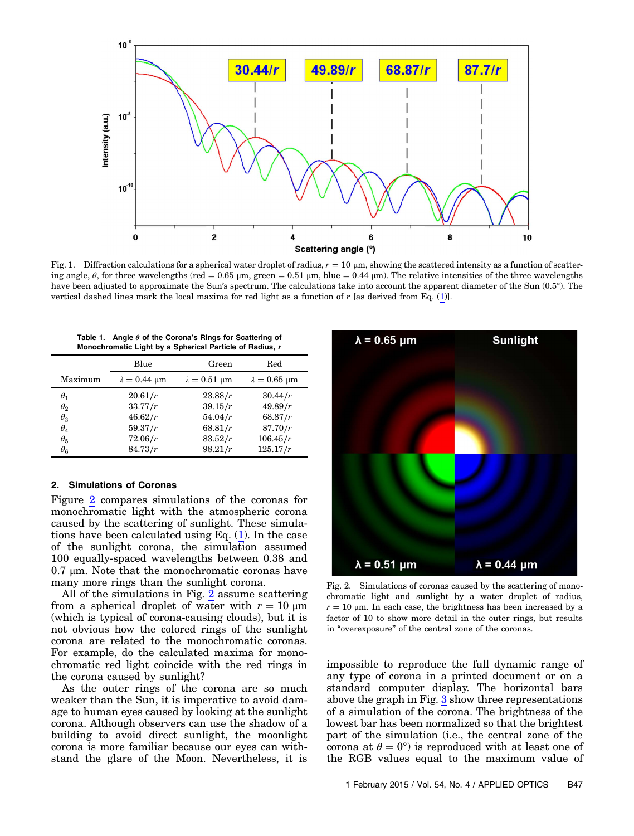<span id="page-1-0"></span>

Fig. 1. Diffraction calculations for a spherical water droplet of radius,  $r = 10 \mu m$ , showing the scattered intensity as a function of scattering angle,  $\theta$ , for three wavelengths (red = 0.65 µm, green = 0.51 µm, blue = 0.44 µm). The relative intensities of the three wavelengths have been adjusted to approximate the Sun's spectrum. The calculations take into account the apparent diameter of the Sun (0.5°). The vertical dashed lines mark the local maxima for red light as a function of r [as derived from Eq. [\(1](#page-0-0))].

| Table 1. Angle $\theta$ of the Corona's Rings for Scattering of |
|-----------------------------------------------------------------|
| Monochromatic Light by a Spherical Particle of Radius, r        |

<span id="page-1-1"></span>

|                                                                    | Blue                                                | Green                                               | Red                                                  |
|--------------------------------------------------------------------|-----------------------------------------------------|-----------------------------------------------------|------------------------------------------------------|
| Maximum                                                            | $\lambda = 0.44$ µm                                 | $\lambda = 0.51$ µm                                 | $\lambda = 0.65$ µm                                  |
| $\theta_1$<br>$\theta_2$<br>$\theta_3$<br>$\theta_4$<br>$\theta_5$ | 20.61/r<br>33.77/r<br>46.62/r<br>59.37/r<br>72.06/r | 23.88/r<br>39.15/r<br>54.04/r<br>68.81/r<br>83.52/r | 30.44/r<br>49.89/r<br>68.87/r<br>87.70/r<br>106.45/r |
| $\theta_{6}$                                                       | 84.73/r                                             | 98.21/r                                             | 125.17/r                                             |

## 2. Simulations of Coronas

Figure [2](#page-1-2) compares simulations of the coronas for monochromatic light with the atmospheric corona caused by the scattering of sunlight. These simulations have been calculated using Eq.  $(1)$  $(1)$  $(1)$ . In the case of the sunlight corona, the simulation assumed 100 equally-spaced wavelengths between 0.38 and 0.7 μm. Note that the monochromatic coronas have many more rings than the sunlight corona.

All of the simulations in Fig. [2](#page-1-2) assume scattering from a spherical droplet of water with  $r = 10 \mu m$ (which is typical of corona-causing clouds), but it is not obvious how the colored rings of the sunlight corona are related to the monochromatic coronas. For example, do the calculated maxima for monochromatic red light coincide with the red rings in the corona caused by sunlight?

As the outer rings of the corona are so much weaker than the Sun, it is imperative to avoid damage to human eyes caused by looking at the sunlight corona. Although observers can use the shadow of a building to avoid direct sunlight, the moonlight corona is more familiar because our eyes can withstand the glare of the Moon. Nevertheless, it is

<span id="page-1-2"></span>

Fig. 2. Simulations of coronas caused by the scattering of monochromatic light and sunlight by a water droplet of radius,  $r = 10 \mu m$ . In each case, the brightness has been increased by a factor of 10 to show more detail in the outer rings, but results in "overexposure" of the central zone of the coronas.

impossible to reproduce the full dynamic range of any type of corona in a printed document or on a standard computer display. The horizontal bars above the graph in Fig. [3](#page-2-0) show three representations of a simulation of the corona. The brightness of the lowest bar has been normalized so that the brightest part of the simulation (i.e., the central zone of the corona at  $\theta = 0^{\circ}$  is reproduced with at least one of the RGB values equal to the maximum value of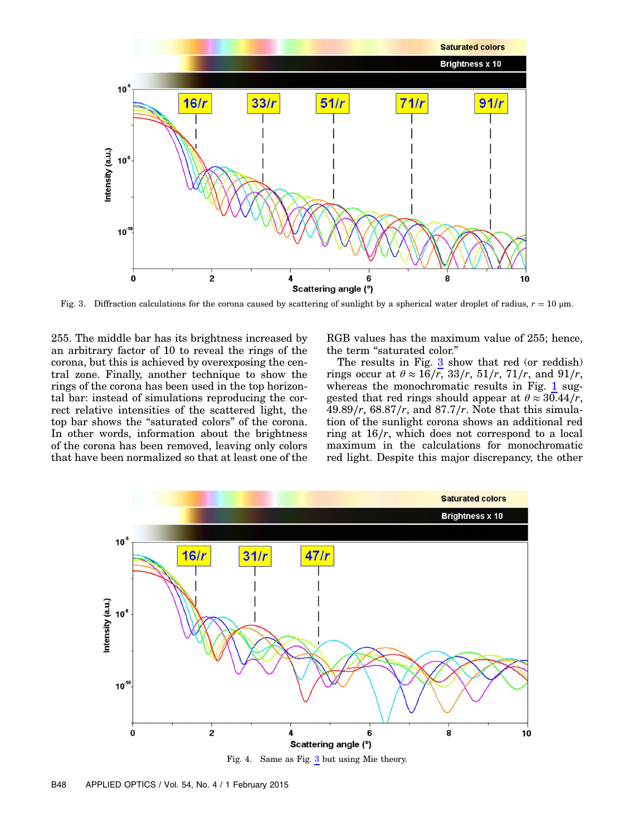<span id="page-2-0"></span>

Fig. 3. Diffraction calculations for the corona caused by scattering of sunlight by a spherical water droplet of radius,  $r = 10 \mu m$ .

255. The middle bar has its brightness increased by an arbitrary factor of 10 to reveal the rings of the corona, but this is achieved by overexposing the central zone. Finally, another technique to show the rings of the corona has been used in the top horizontal bar: instead of simulations reproducing the correct relative intensities of the scattered light, the top bar shows the "saturated colors" of the corona. In other words, information about the brightness of the corona has been removed, leaving only colors that have been normalized so that at least one of the RGB values has the maximum value of 255; hence, the term "saturated color."

The results in Fig.  $3 \text{ show that red (or reddish)}$  $3 \text{ show that red (or reddish)}$ rings occur at  $\theta \approx 16/\overline{r}$ , 33/r, 51/r, 71/r, and 91/r, whereas the monochromatic results in Fig. [1](#page-1-0) suggested that red rings should appear at  $\theta \approx 30.44/r$ , 49.89∕r, 68.87∕r, and 87.7∕r. Note that this simulation of the sunlight corona shows an additional red ring at 16∕r, which does not correspond to a local maximum in the calculations for monochromatic red light. Despite this major discrepancy, the other

<span id="page-2-1"></span>

Fig. 4. Same as Fig.  $\frac{3}{2}$  $\frac{3}{2}$  $\frac{3}{2}$  but using Mie theory.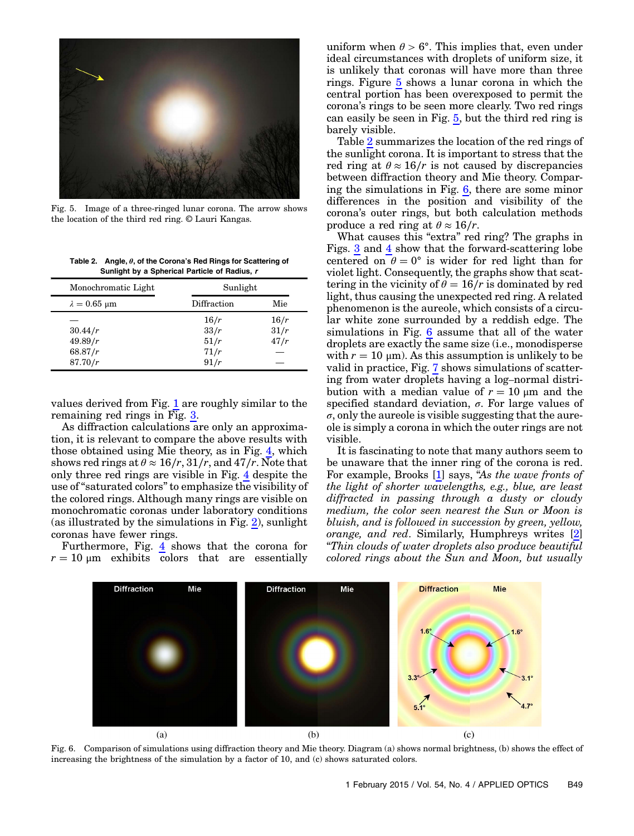<span id="page-3-0"></span>

Fig. 5. Image of a three-ringed lunar corona. The arrow shows the location of the third red ring. © Lauri Kangas.

<span id="page-3-1"></span>Table 2. Angle,  $\theta$ , of the Corona's Red Rings for Scattering of Sunlight by a Spherical Particle of Radius, r

| Monochromatic Light | Sunlight    |      |
|---------------------|-------------|------|
| $\lambda = 0.65$ µm | Diffraction | Mie  |
|                     | 16/r        | 16/r |
| 30.44/r             | 33/r        | 31/r |
| 49.89/r             | 51/r        | 47/r |
| 68.87/r             | 71/r        |      |
| 87.70/r             | 91/r        |      |

values derived from Fig. [1](#page-1-0) are roughly similar to the remaining red rings in Fig. [3.](#page-2-0)

As diffraction calculations are only an approximation, it is relevant to compare the above results with those obtained using Mie theory, as in Fig. [4,](#page-2-1) which shows red rings at  $\theta \approx 16/r$ ,  $31/r$ , and  $47/r$ . Note that only three red rings are visible in Fig. [4](#page-2-1) despite the use of "saturated colors" to emphasize the visibility of the colored rings. Although many rings are visible on monochromatic coronas under laboratory conditions (as illustrated by the simulations in Fig. [2](#page-1-2)), sunlight coronas have fewer rings.

Furthermore, Fig. [4](#page-2-1) shows that the corona for  $r = 10 \text{ µm}$  exhibits colors that are essentially

uniform when  $\theta > 6^{\circ}$ . This implies that, even under ideal circumstances with droplets of uniform size, it is unlikely that coronas will have more than three rings. Figure [5](#page-3-0) shows a lunar corona in which the central portion has been overexposed to permit the corona's rings to be seen more clearly. Two red rings can easily be seen in Fig. [5](#page-3-0), but the third red ring is barely visible.

Table [2](#page-3-1) summarizes the location of the red rings of the sunlight corona. It is important to stress that the red ring at  $\theta \approx 16/r$  is not caused by discrepancies between diffraction theory and Mie theory. Comparing the simulations in Fig. [6](#page-3-2), there are some minor differences in the position and visibility of the corona's outer rings, but both calculation methods produce a red ring at  $\theta \approx 16/r$ .

What causes this "extra" red ring? The graphs in Figs. [3](#page-2-0) and [4](#page-2-1) show that the forward-scattering lobe centered on  $\theta = 0^{\circ}$  is wider for red light than for violet light. Consequently, the graphs show that scattering in the vicinity of  $\theta = 16/r$  is dominated by red light, thus causing the unexpected red ring. A related phenomenon is the aureole, which consists of a circular white zone surrounded by a reddish edge. The simulations in Fig. [6](#page-3-2) assume that all of the water droplets are exactly the same size (i.e., monodisperse with  $r = 10 \mu m$ ). As this assumption is unlikely to be valid in practice, Fig. [7](#page-4-0) shows simulations of scattering from water droplets having a log–normal distribution with a median value of  $r = 10 \mu m$  and the specified standard deviation,  $\sigma$ . For large values of  $\sigma$ , only the aureole is visible suggesting that the aureole is simply a corona in which the outer rings are not visible.

It is fascinating to note that many authors seem to be unaware that the inner ring of the corona is red. For example, Brooks [\[1\]](#page-7-0) says, "As the wave fronts of the light of shorter wavelengths, e.g., blue, are least diffracted in passing through a dusty or cloudy medium, the color seen nearest the Sun or Moon is bluish, and is followed in succession by green, yellow, orange, and red. Similarly, Humphreys writes [\[2\]](#page-7-1) "Thin clouds of water droplets also produce beautiful colored rings about the Sun and Moon, but usually

<span id="page-3-2"></span>

Fig. 6. Comparison of simulations using diffraction theory and Mie theory. Diagram (a) shows normal brightness, (b) shows the effect of increasing the brightness of the simulation by a factor of 10, and (c) shows saturated colors.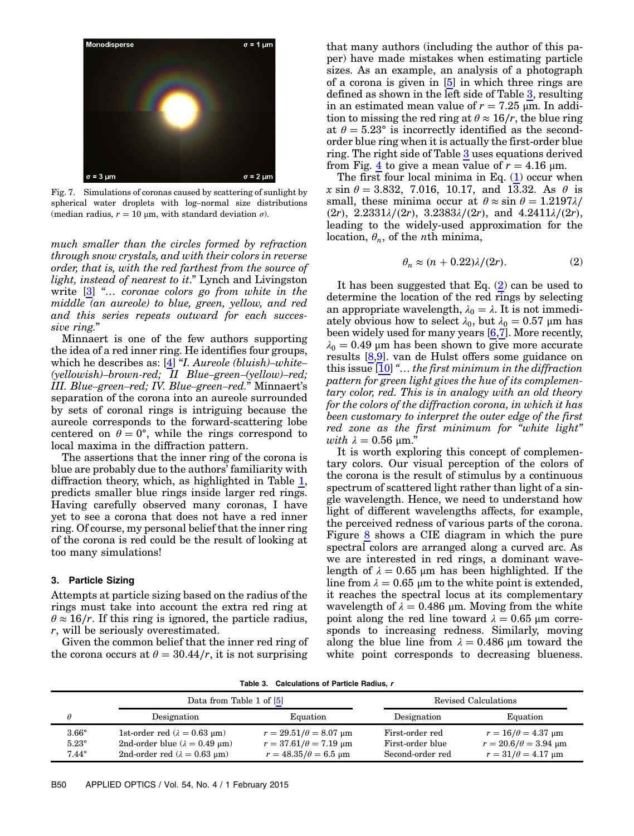<span id="page-4-0"></span>

Fig. 7. Simulations of coronas caused by scattering of sunlight by spherical water droplets with log–normal size distributions (median radius,  $r = 10 \mu m$ , with standard deviation  $\sigma$ ).

much smaller than the circles formed by refraction through snow crystals, and with their colors in reverse order, that is, with the red farthest from the source of light, instead of nearest to it." Lynch and Livingston write [[3](#page-7-2)] "… coronae colors go from white in the middle (an aureole) to blue, green, yellow, and red and this series repeats outward for each successive ring."

Minnaert is one of the few authors supporting the idea of a red inner ring. He identifies four groups, which he describes as:  $[4]$  "I. Aureole (bluish)–white– (yellowish)–brown-red; II Blue–green–(yellow)–red; III. Blue–green–red; IV. Blue–green–red." Minnaert'<sup>s</sup> separation of the corona into an aureole surrounded by sets of coronal rings is intriguing because the aureole corresponds to the forward-scattering lobe centered on  $\theta = 0^{\circ}$ , while the rings correspond to local maxima in the diffraction pattern.

The assertions that the inner ring of the corona is blue are probably due to the authors' familiarity with diffraction theory, which, as highlighted in Table [1](#page-1-1), predicts smaller blue rings inside larger red rings. Having carefully observed many coronas, I have yet to see a corona that does not have a red inner ring. Of course, my personal belief that the inner ring of the corona is red could be the result of looking at too many simulations!

# 3. Particle Sizing

Attempts at particle sizing based on the radius of the rings must take into account the extra red ring at  $\theta \approx 16/r$ . If this ring is ignored, the particle radius, r, will be seriously overestimated.

Given the common belief that the inner red ring of the corona occurs at  $\theta = 30.44/r$ , it is not surprising

that many authors (including the author of this paper) have made mistakes when estimating particle sizes. As an example, an analysis of a photograph of a corona is given in [[5](#page-7-4)] in which three rings are defined as shown in the left side of Table [3](#page-4-1), resulting in an estimated mean value of  $r = 7.25 \mu m$ . In addition to missing the red ring at  $\theta \approx 16/r$ , the blue ring at  $\theta = 5.23^{\circ}$  is incorrectly identified as the secondorder blue ring when it is actually the first-order blue ring. The right side of Table [3](#page-4-1) uses equations derived from Fig. [4](#page-2-1) to give a mean value of  $r = 4.16 \mu m$ .

<span id="page-4-2"></span>The first four local minima in Eq.  $(1)$  occur when  $x \sin \theta = 3.832, 7.016, 10.17, \text{ and } 13.32.$  As  $\theta$  is small, these minima occur at  $\theta \approx \sin \theta = 1.2197\lambda$ /  $(2r)$ ,  $2.2331\lambda/(2r)$ ,  $3.2383\lambda/(2r)$ , and  $4.2411\lambda/(2r)$ , leading to the widely-used approximation for the location,  $\theta_n$ , of the *n*th minima,

$$
\theta_n \approx (n + 0.22)\lambda/(2r). \tag{2}
$$

It has been suggested that Eq.  $(2)$  can be used to determine the location of the red rings by selecting an appropriate wavelength,  $\lambda_0 = \lambda$ . It is not immediately obvious how to select  $\lambda_0$ , but  $\lambda_0 = 0.57$  µm has been widely used for many years [\[6,](#page-7-5)[7](#page-7-6)]. More recently,  $\lambda_0 = 0.49$  μm has been shown to give more accurate results [[8](#page-7-7),[9](#page-7-8)]. van de Hulst offers some guidance on this issue  $[10]$  $[10]$  "... the first minimum in the diffraction pattern for green light gives the hue of its complementary color, red. This is in analogy with an old theory for the colors of the diffraction corona, in which it has been customary to interpret the outer edge of the first red zone as the first minimum for "white light" with  $\lambda = 0.56$  μm."

It is worth exploring this concept of complementary colors. Our visual perception of the colors of the corona is the result of stimulus by a continuous spectrum of scattered light rather than light of a single wavelength. Hence, we need to understand how light of different wavelengths affects, for example, the perceived redness of various parts of the corona. Figure [8](#page-5-0) shows a CIE diagram in which the pure spectral colors are arranged along a curved arc. As we are interested in red rings, a dominant wavelength of  $\lambda = 0.65$  μm has been highlighted. If the line from  $\lambda = 0.65$  μm to the white point is extended, it reaches the spectral locus at its complementary wavelength of  $\lambda = 0.486$  μm. Moving from the white point along the red line toward  $\lambda = 0.65$  μm corresponds to increasing redness. Similarly, moving along the blue line from  $\lambda = 0.486 \mu m$  toward the white point corresponds to decreasing blueness.

Table 3. Calculations of Particle Radius, r

<span id="page-4-1"></span>

|                                                | Data from Table 1 of [5]                                                                                                                              |                                                                                                              | Revised Calculations                                    |                                                                                                                                          |
|------------------------------------------------|-------------------------------------------------------------------------------------------------------------------------------------------------------|--------------------------------------------------------------------------------------------------------------|---------------------------------------------------------|------------------------------------------------------------------------------------------------------------------------------------------|
| θ                                              | Designation                                                                                                                                           | Equation                                                                                                     | Designation                                             | Equation                                                                                                                                 |
| $3.66^\circ$<br>$5.23^\circ$<br>$7.44^{\circ}$ | 1st-order red $(\lambda = 0.63 \text{ }\mu\text{m})$<br>2nd-order blue ( $\lambda = 0.49$ µm)<br>2nd-order red $(\lambda = 0.63 \text{ }\mu\text{m})$ | $r = 29.51/\theta = 8.07$ µm<br>$r = 37.61/\theta = 7.19 \text{ }\mu\text{m}$<br>$r = 48.35/\theta = 6.5$ µm | First-order red<br>First-order blue<br>Second-order red | $r = 16/\theta = 4.37 \text{ }\mu\text{m}$<br>$r = 20.6/\theta = 3.94 \text{ }\mu\text{m}$<br>$r = 31/\theta = 4.17 \text{ }\mu\text{m}$ |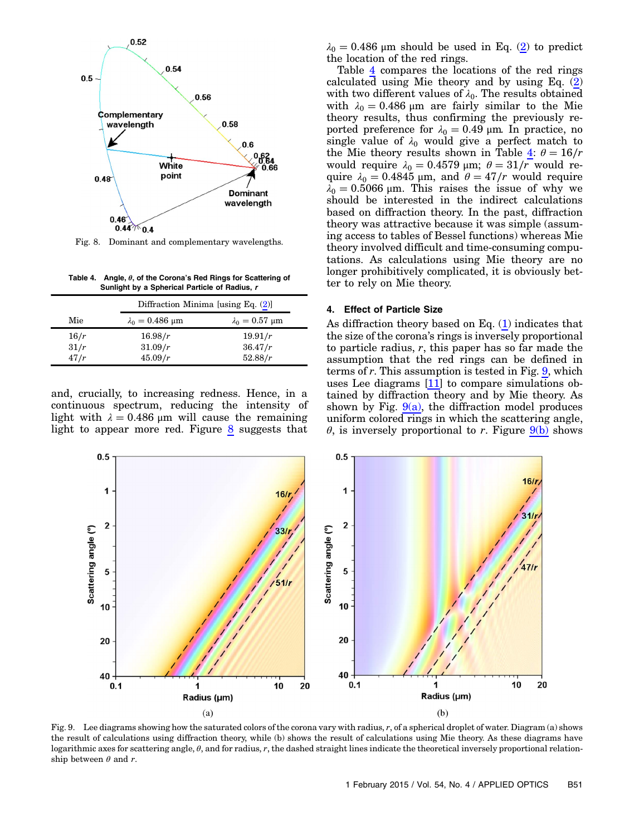<span id="page-5-0"></span>

Fig. 8. Dominant and complementary wavelengths.

<span id="page-5-1"></span>Table 4. Angle,  $\theta$ , of the Corona's Red Rings for Scattering of Sunlight by a Spherical Particle of Radius, r

|      |                             | Diffraction Minima [using Eq. $(2)$ ] |  |  |
|------|-----------------------------|---------------------------------------|--|--|
| Mie  | $\lambda_0 = 0.486 \,\mu m$ | $\lambda_0 = 0.57 \mu m$              |  |  |
| 16/r | 16.98/r                     | 19.91/r                               |  |  |
| 31/r | 31.09/r                     | 36.47/r                               |  |  |
| 47/r | 45.09/r                     | 52.88/r                               |  |  |

and, crucially, to increasing redness. Hence, in a continuous spectrum, reducing the intensity of light with  $\lambda = 0.486$  μm will cause the remaining light to appear more red. Figure [8](#page-5-0) suggests that

 $\lambda_0 = 0.486$  μm should be used in Eq. [\(2](#page-4-2)) to predict the location of the red rings.

Table [4](#page-5-1) compares the locations of the red rings calculated using Mie theory and by using Eq. [\(2\)](#page-4-2) with two different values of  $\lambda_0$ . The results obtained with  $\lambda_0 = 0.486 \,\mu \text{m}$  are fairly similar to the Mie theory results, thus confirming the previously reported preference for  $\lambda_0 = 0.49$  μm. In practice, no single value of  $\lambda_0$  would give a perfect match to the Mie theory results shown in Table  $\frac{4}{5}$  $\frac{4}{5}$  $\frac{4}{5}$ :  $\theta = \frac{16}{r}$ would require  $\lambda_0 = 0.4579$  μm;  $\theta = 31/r$  would require  $\lambda_0 = 0.4845$  μm, and  $\theta = 47/r$  would require  $\lambda_0 = 0.5066$  μm. This raises the issue of why we should be interested in the indirect calculations based on diffraction theory. In the past, diffraction theory was attractive because it was simple (assuming access to tables of Bessel functions) whereas Mie theory involved difficult and time-consuming computations. As calculations using Mie theory are no longer prohibitively complicated, it is obviously better to rely on Mie theory.

#### 4. Effect of Particle Size

As diffraction theory based on Eq. [\(1\)](#page-0-0) indicates that the size of the corona's rings is inversely proportional to particle radius,  $r$ , this paper has so far made the assumption that the red rings can be defined in terms of r. This assumption is tested in Fig. [9](#page-5-2), which uses Lee diagrams [[11\]](#page-7-10) to compare simulations obtained by diffraction theory and by Mie theory. As shown by Fig.  $9(a)$ , the diffraction model produces uniform colored rings in which the scattering angle,  $\theta$ , is inversely proportional to r. Figure  $9(b)$  shows

<span id="page-5-2"></span>

Fig. 9. Lee diagrams showing how the saturated colors of the corona vary with radius,  $r$ , of a spherical droplet of water. Diagram (a) shows the result of calculations using diffraction theory, while (b) shows the result of calculations using Mie theory. As these diagrams have logarithmic axes for scattering angle,  $\theta$ , and for radius, r, the dashed straight lines indicate the theoretical inversely proportional relationship between  $\theta$  and  $r$ .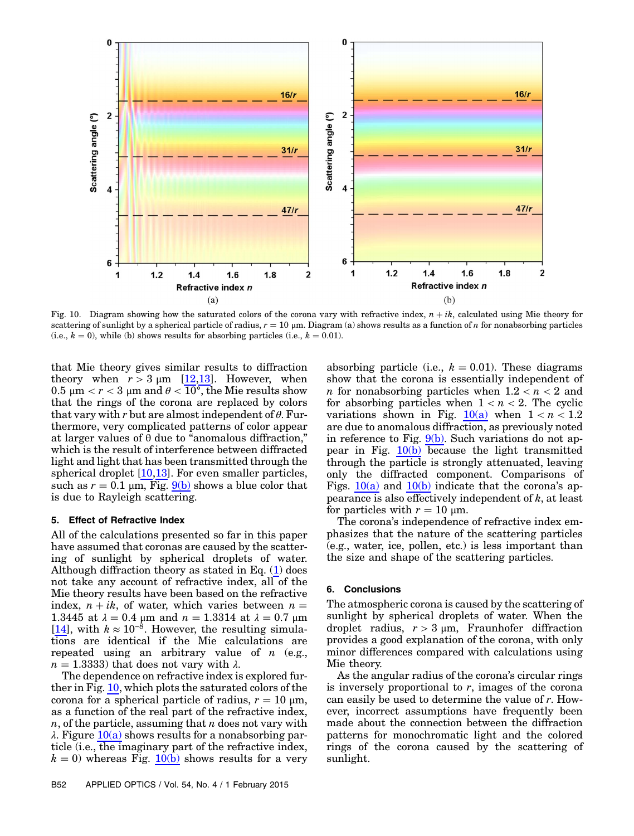<span id="page-6-0"></span>

Fig. 10. Diagram showing how the saturated colors of the corona vary with refractive index,  $n + ik$ , calculated using Mie theory for scattering of sunlight by a spherical particle of radius,  $r = 10 \, \mu m$ . Diagram (a) shows results as a function of n for nonabsorbing particles (i.e.,  $k = 0$ ), while (b) shows results for absorbing particles (i.e.,  $k = 0.01$ ).

that Mie theory gives similar results to diffraction theory when  $r > 3 \mu m$  [\[12,](#page-7-11)[13](#page-7-12)]. However, when 0.5 μm  $\langle r < 3 \rangle$  μm and  $\theta < \overline{10^{\circ}}$ , the Mie results show that the rings of the corona are replaced by colors that vary with r but are almost independent of  $\theta$ . Furthermore, very complicated patterns of color appear at larger values of  $\theta$  due to "anomalous diffraction," which is the result of interference between diffracted light and light that has been transmitted through the spherical droplet [[10,](#page-7-9)[13\]](#page-7-12). For even smaller particles, such as  $r = 0.1 \mu m$ , Fig. [9\(b\)](#page-5-2) shows a blue color that is due to Rayleigh scattering.

#### 5. Effect of Refractive Index

All of the calculations presented so far in this paper have assumed that coronas are caused by the scattering of sunlight by spherical droplets of water. Although diffraction theory as stated in Eq.  $(1)$  $(1)$  $(1)$  does not take any account of refractive index, all of the Mie theory results have been based on the refractive index,  $n + ik$ , of water, which varies between  $n =$ 1.3445 at  $\lambda = 0.4$  μm and  $n = 1.3314$  at  $\lambda = 0.7$  μm [\[14](#page-7-13)], with  $k \approx 10^{-8}$ . However, the resulting simulations are identical if the Mie calculations are repeated using an arbitrary value of  $n$  (e.g.,  $n = 1.3333$ ) that does not vary with  $\lambda$ .

The dependence on refractive index is explored further in Fig. [10,](#page-6-0) which plots the saturated colors of the corona for a spherical particle of radius,  $r = 10 \mu m$ , as a function of the real part of the refractive index,  $n$ , of the particle, assuming that  $n$  does not vary with  $\lambda$ . Figure  $10(a)$  shows results for a nonabsorbing particle (i.e., the imaginary part of the refractive index,  $k = 0$ ) whereas Fig. [10\(b\)](#page-6-0) shows results for a very

absorbing particle (i.e.,  $k = 0.01$ ). These diagrams show that the corona is essentially independent of *n* for nonabsorbing particles when  $1.2 < n < 2$  and for absorbing particles when  $1 < n < 2$ . The cyclic variations shown in Fig.  $10(a)$  when  $1 < n < 1.2$ are due to anomalous diffraction, as previously noted in reference to Fig.  $9(b)$ . Such variations do not appear in Fig.  $10(b)$  because the light transmitted through the particle is strongly attenuated, leaving only the diffracted component. Comparisons of Figs.  $10(a)$  and  $10(b)$  indicate that the corona's appearance is also effectively independent of  $k$ , at least for particles with  $r = 10 \text{ µm}$ .

The corona's independence of refractive index emphasizes that the nature of the scattering particles (e.g., water, ice, pollen, etc.) is less important than the size and shape of the scattering particles.

## 6. Conclusions

The atmospheric corona is caused by the scattering of sunlight by spherical droplets of water. When the droplet radius,  $r > 3 \mu m$ , Fraunhofer diffraction provides a good explanation of the corona, with only minor differences compared with calculations using Mie theory.

As the angular radius of the corona's circular rings is inversely proportional to  $r$ , images of the corona can easily be used to determine the value of r. However, incorrect assumptions have frequently been made about the connection between the diffraction patterns for monochromatic light and the colored rings of the corona caused by the scattering of sunlight.